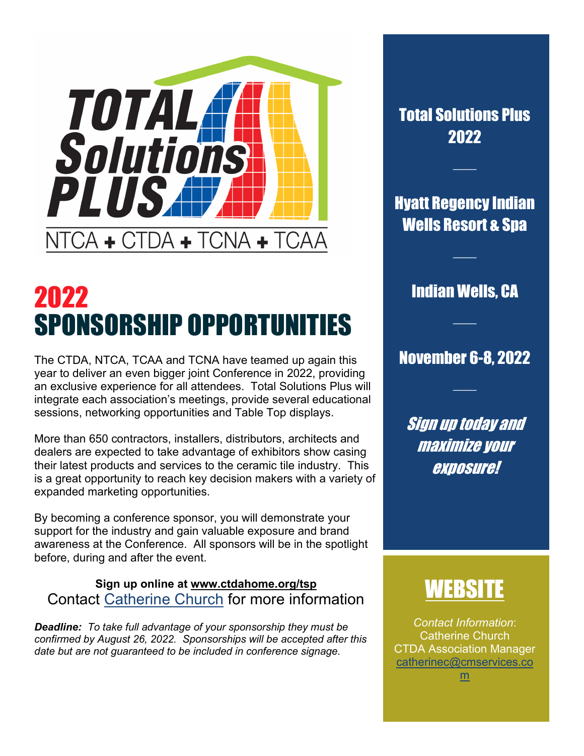

# 2022 SPONSORSHIP OPPORTUNITIES

The CTDA, NTCA, TCAA and TCNA have teamed up again this year to deliver an even bigger joint Conference in 2022, providing an exclusive experience for all attendees. Total Solutions Plus will integrate each association's meetings, provide several educational sessions, networking opportunities and Table Top displays.

More than 650 contractors, installers, distributors, architects and dealers are expected to take advantage of exhibitors show casing their latest products and services to the ceramic tile industry. This is a great opportunity to reach key decision makers with a variety of expanded marketing opportunities.

By becoming a conference sponsor, you will demonstrate your support for the industry and gain valuable exposure and brand awareness at the Conference. All sponsors will be in the spotlight before, during and after the event.

#### **Sign up online at [www.ctdahome.org/tsp](http://www.ctdahome.org/tsp)**  Contact [Catherine Church](mailto:catherinec@cmservices.com?subject=TSP%20Event%20Sponsorship) for more information

*Deadline: To take full advantage of your sponsorship they must be confirmed by August 26, 2022. Sponsorships will be accepted after this date but are not guaranteed to be included in conference signage.*

Total Solutions Plus 2022

 $\mathcal{L}$ 

Hyatt Regency Indian Wells Resort & Spa

Indian Wells, CA

 $\mathcal{L}$ 

 $\mathcal{L}$ 

### November 6-8, 2022

 $\mathcal{L}$ 

Sign up today and maximize your exposure!

# 11:W

*Contact Information*: Catherine Church CTDA Association Manager [catherinec@cmservices.co](mailto:catherinec@cmservices.com) [m](mailto:catherinec@cmservices.com)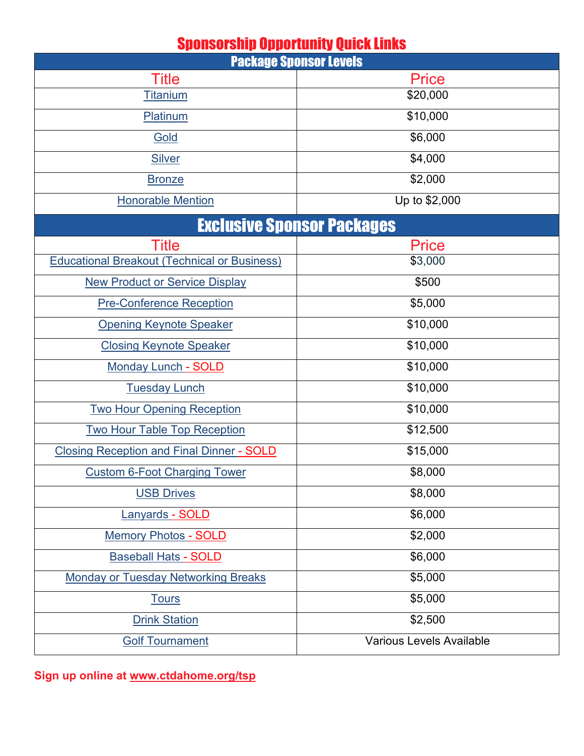### Sponsorship Opportunity Quick Links

| <b>Package Sponsor Levels</b>                       |                          |
|-----------------------------------------------------|--------------------------|
| <b>Title</b>                                        | <b>Price</b>             |
| <u>Titanium</u>                                     | \$20,000                 |
| Platinum                                            | \$10,000                 |
| Gold                                                | \$6,000                  |
| <b>Silver</b>                                       | \$4,000                  |
| <b>Bronze</b>                                       | \$2,000                  |
| <b>Honorable Mention</b>                            | Up to \$2,000            |
| <b>Exclusive Sponsor Packages</b>                   |                          |
| <b>Title</b>                                        | <b>Price</b>             |
| <b>Educational Breakout (Technical or Business)</b> | \$3,000                  |
| <b>New Product or Service Display</b>               | \$500                    |
| <b>Pre-Conference Reception</b>                     | \$5,000                  |
| <b>Opening Keynote Speaker</b>                      | \$10,000                 |
| <b>Closing Keynote Speaker</b>                      | \$10,000                 |
| <b>Monday Lunch - SOLD</b>                          | \$10,000                 |
| <b>Tuesday Lunch</b>                                | \$10,000                 |
| <b>Two Hour Opening Reception</b>                   | \$10,000                 |
| <b>Two Hour Table Top Reception</b>                 | \$12,500                 |
| <b>Closing Reception and Final Dinner - SOLD</b>    | \$15,000                 |
| <b>Custom 6-Foot Charging Tower</b>                 | \$8,000                  |
| <b>USB Drives</b>                                   | \$8,000                  |
| Lanyards - SOLD                                     | \$6,000                  |
| <b>Memory Photos - SOLD</b>                         | \$2,000                  |
| <b>Baseball Hats - SOLD</b>                         | \$6,000                  |
| <b>Monday or Tuesday Networking Breaks</b>          | \$5,000                  |
| <b>Tours</b>                                        | \$5,000                  |
| <b>Drink Station</b>                                | \$2,500                  |
| <b>Golf Tournament</b>                              | Various Levels Available |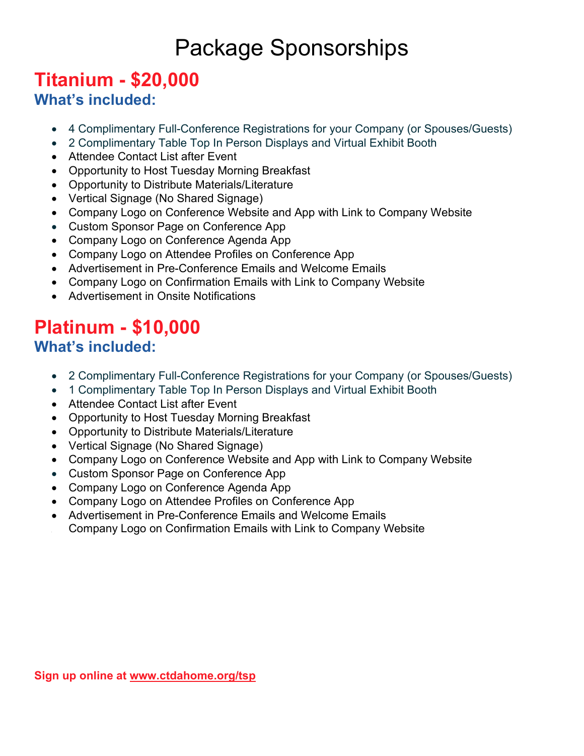# Package Sponsorships

### <span id="page-2-0"></span>**Titanium - \$20,000 What's included:**

- 4 Complimentary Full-Conference Registrations for your Company (or Spouses/Guests)
- 2 Complimentary Table Top In Person Displays and Virtual Exhibit Booth
- Attendee Contact List after Event
- Opportunity to Host Tuesday Morning Breakfast
- Opportunity to Distribute Materials/Literature
- Vertical Signage (No Shared Signage)
- Company Logo on Conference Website and App with Link to Company Website
- Custom Sponsor Page on Conference App
- Company Logo on Conference Agenda App
- Company Logo on Attendee Profiles on Conference App
- Advertisement in Pre-Conference Emails and Welcome Emails
- Company Logo on Confirmation Emails with Link to Company Website
- Advertisement in Onsite Notifications

### <span id="page-2-1"></span>**Platinum - \$10,000 What's included:**

- 2 Complimentary Full-Conference Registrations for your Company (or Spouses/Guests)
- 1 Complimentary Table Top In Person Displays and Virtual Exhibit Booth
- Attendee Contact List after Event
- Opportunity to Host Tuesday Morning Breakfast
- Opportunity to Distribute Materials/Literature
- Vertical Signage (No Shared Signage)
- Company Logo on Conference Website and App with Link to Company Website
- Custom Sponsor Page on Conference App
- Company Logo on Conference Agenda App
- Company Logo on Attendee Profiles on Conference App
- Advertisement in Pre-Conference Emails and Welcome Emails
- <span id="page-2-2"></span>• Company Logo on Confirmation Emails with Link to Company Website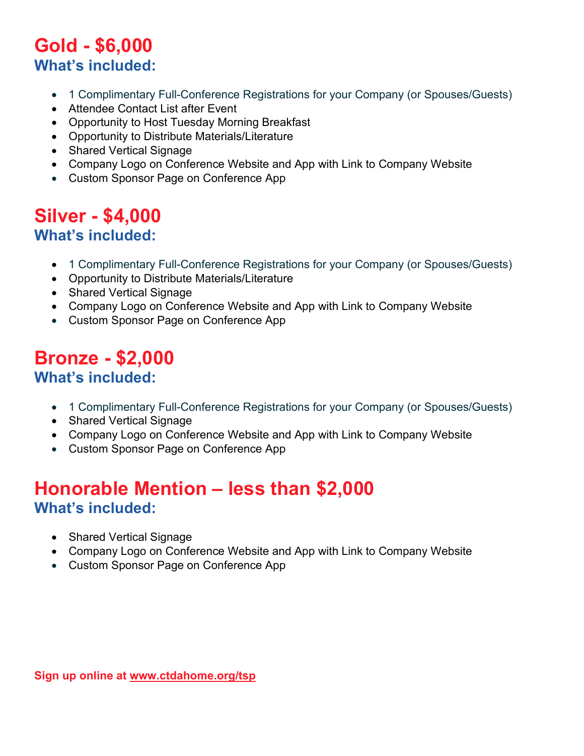### **Gold - \$6,000 What's included:**

- 1 Complimentary Full-Conference Registrations for your Company (or Spouses/Guests)
- Attendee Contact List after Event
- Opportunity to Host Tuesday Morning Breakfast
- Opportunity to Distribute Materials/Literature
- Shared Vertical Signage
- Company Logo on Conference Website and App with Link to Company Website
- Custom Sponsor Page on Conference App

### <span id="page-3-0"></span>**Silver - \$4,000 What's included:**

- 1 Complimentary Full-Conference Registrations for your Company (or Spouses/Guests)
- Opportunity to Distribute Materials/Literature
- Shared Vertical Signage
- Company Logo on Conference Website and App with Link to Company Website
- Custom Sponsor Page on Conference App

### <span id="page-3-1"></span>**Bronze - \$2,000 What's included:**

- 1 Complimentary Full-Conference Registrations for your Company (or Spouses/Guests)
- Shared Vertical Signage
- Company Logo on Conference Website and App with Link to Company Website
- Custom Sponsor Page on Conference App

### <span id="page-3-2"></span>**Honorable Mention – less than \$2,000 What's included:**

- Shared Vertical Signage
- Company Logo on Conference Website and App with Link to Company Website
- Custom Sponsor Page on Conference App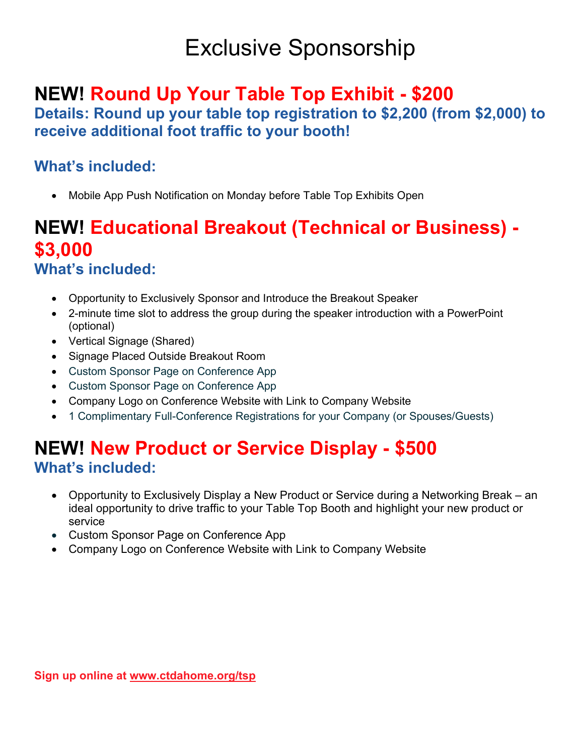# Exclusive Sponsorship

## **NEW! Round Up Your Table Top Exhibit - \$200**

**Details: Round up your table top registration to \$2,200 (from \$2,000) to receive additional foot traffic to your booth!**

### **What's included:**

• Mobile App Push Notification on Monday before Table Top Exhibits Open

### <span id="page-4-0"></span>**NEW! Educational Breakout (Technical or Business) - \$3,000 What's included:**

- Opportunity to Exclusively Sponsor and Introduce the Breakout Speaker
- 2-minute time slot to address the group during the speaker introduction with a PowerPoint (optional)
- Vertical Signage (Shared)
- Signage Placed Outside Breakout Room
- Custom Sponsor Page on Conference App
- Custom Sponsor Page on Conference App
- Company Logo on Conference Website with Link to Company Website
- 1 Complimentary Full-Conference Registrations for your Company (or Spouses/Guests)

### <span id="page-4-1"></span>**NEW! New Product or Service Display - \$500 What's included:**

- Opportunity to Exclusively Display a New Product or Service during a Networking Break an ideal opportunity to drive traffic to your Table Top Booth and highlight your new product or service
- Custom Sponsor Page on Conference App
- <span id="page-4-2"></span>• Company Logo on Conference Website with Link to Company Website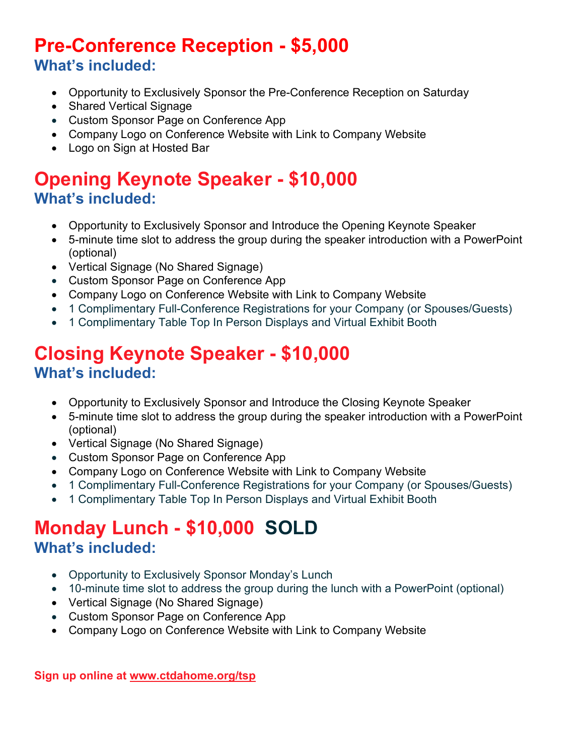### **Pre-Conference Reception - \$5,000 What's included:**

- Opportunity to Exclusively Sponsor the Pre-Conference Reception on Saturday
- Shared Vertical Signage
- Custom Sponsor Page on Conference App
- Company Logo on Conference Website with Link to Company Website
- Logo on Sign at Hosted Bar

### <span id="page-5-0"></span>**Opening Keynote Speaker - \$10,000 What's included:**

- Opportunity to Exclusively Sponsor and Introduce the Opening Keynote Speaker
- 5-minute time slot to address the group during the speaker introduction with a PowerPoint (optional)
- Vertical Signage (No Shared Signage)
- Custom Sponsor Page on Conference App
- Company Logo on Conference Website with Link to Company Website
- 1 Complimentary Full-Conference Registrations for your Company (or Spouses/Guests)
- <span id="page-5-1"></span>• 1 Complimentary Table Top In Person Displays and Virtual Exhibit Booth

### **Closing Keynote Speaker - \$10,000 What's included:**

- Opportunity to Exclusively Sponsor and Introduce the Closing Keynote Speaker
- 5-minute time slot to address the group during the speaker introduction with a PowerPoint (optional)
- Vertical Signage (No Shared Signage)
- Custom Sponsor Page on Conference App
- Company Logo on Conference Website with Link to Company Website
- 1 Complimentary Full-Conference Registrations for your Company (or Spouses/Guests)
- 1 Complimentary Table Top In Person Displays and Virtual Exhibit Booth

### <span id="page-5-2"></span>**Monday Lunch - \$10,000 SOLD What's included:**

- Opportunity to Exclusively Sponsor Monday's Lunch
- 10-minute time slot to address the group during the lunch with a PowerPoint (optional)
- Vertical Signage (No Shared Signage)
- Custom Sponsor Page on Conference App
- Company Logo on Conference Website with Link to Company Website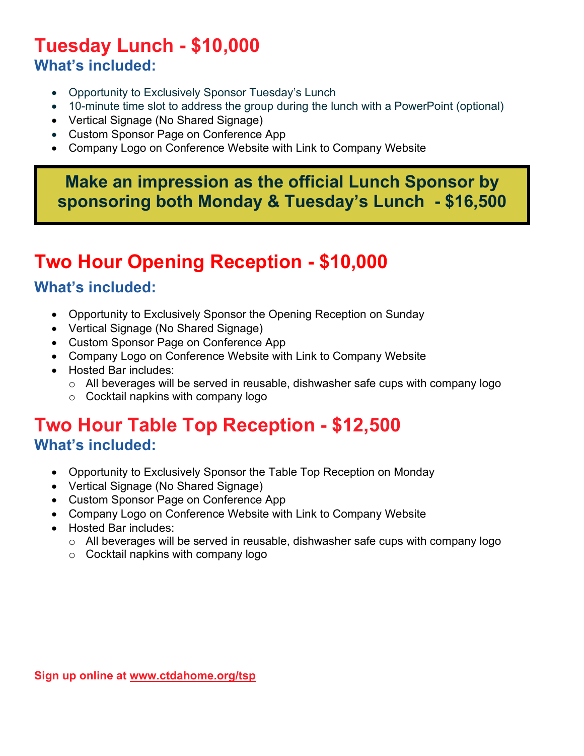### <span id="page-6-0"></span>**Tuesday Lunch - \$10,000 What's included:**

- Opportunity to Exclusively Sponsor Tuesday's Lunch
- 10-minute time slot to address the group during the lunch with a PowerPoint (optional)
- Vertical Signage (No Shared Signage)
- Custom Sponsor Page on Conference App
- Company Logo on Conference Website with Link to Company Website

### **Make an impression as the official Lunch Sponsor by sponsoring both Monday & Tuesday's Lunch - \$16,500**

## <span id="page-6-1"></span>**Two Hour Opening Reception - \$10,000**

#### **What's included:**

- Opportunity to Exclusively Sponsor the Opening Reception on Sunday
- Vertical Signage (No Shared Signage)
- Custom Sponsor Page on Conference App
- Company Logo on Conference Website with Link to Company Website
- Hosted Bar includes:
	- o All beverages will be served in reusable, dishwasher safe cups with company logo
	- o Cocktail napkins with company logo

### <span id="page-6-2"></span>**Two Hour Table Top Reception - \$12,500 What's included:**

- Opportunity to Exclusively Sponsor the Table Top Reception on Monday
- Vertical Signage (No Shared Signage)
- Custom Sponsor Page on Conference App
- Company Logo on Conference Website with Link to Company Website
- <span id="page-6-3"></span>• Hosted Bar includes:
	- o All beverages will be served in reusable, dishwasher safe cups with company logo
	- o Cocktail napkins with company logo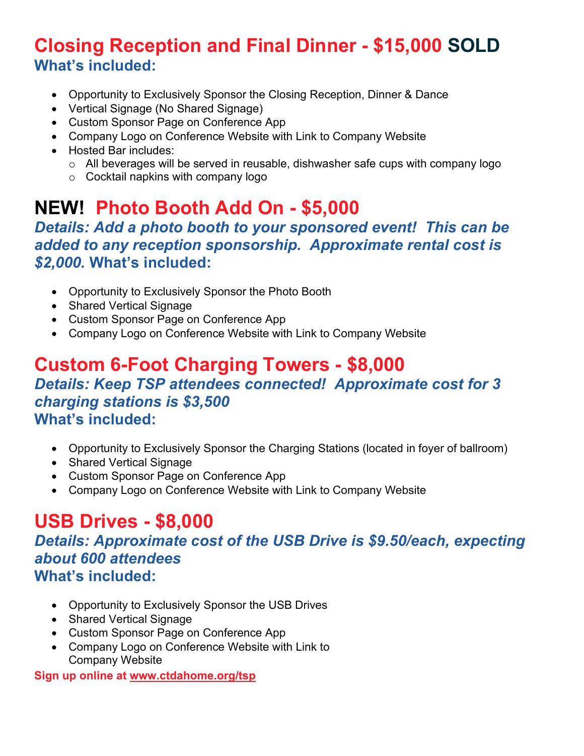### **Closing Reception and Final Dinner - \$15,000 SOLD What's included:**

- Opportunity to Exclusively Sponsor the Closing Reception, Dinner & Dance
- Vertical Signage (No Shared Signage)
- Custom Sponsor Page on Conference App
- Company Logo on Conference Website with Link to Company Website
- Hosted Bar includes:
	- o All beverages will be served in reusable, dishwasher safe cups with company logo
	- o Cocktail napkins with company logo

## **NEW! Photo Booth Add On - \$5,000**

*Details: Add a photo booth to your sponsored event! This can be added to any reception sponsorship. Approximate rental cost is \$2,000.* **What's included:**

- Opportunity to Exclusively Sponsor the Photo Booth
- Shared Vertical Signage
- Custom Sponsor Page on Conference App
- Company Logo on Conference Website with Link to Company Website

### <span id="page-7-0"></span>**Custom 6-Foot Charging Towers - \$8,000** *Details: Keep TSP attendees connected! Approximate cost for 3 charging stations is \$3,500* **What's included:**

- Opportunity to Exclusively Sponsor the Charging Stations (located in foyer of ballroom)
- Shared Vertical Signage
- Custom Sponsor Page on Conference App
- Company Logo on Conference Website with Link to Company Website

## <span id="page-7-1"></span>**USB Drives - \$8,000**

*Details: Approximate cost of the USB Drive is \$9.50/each, expecting about 600 attendees* **What's included:**

- Opportunity to Exclusively Sponsor the USB Drives
- Shared Vertical Signage
- Custom Sponsor Page on Conference App
- Company Logo on Conference Website with Link to Company Website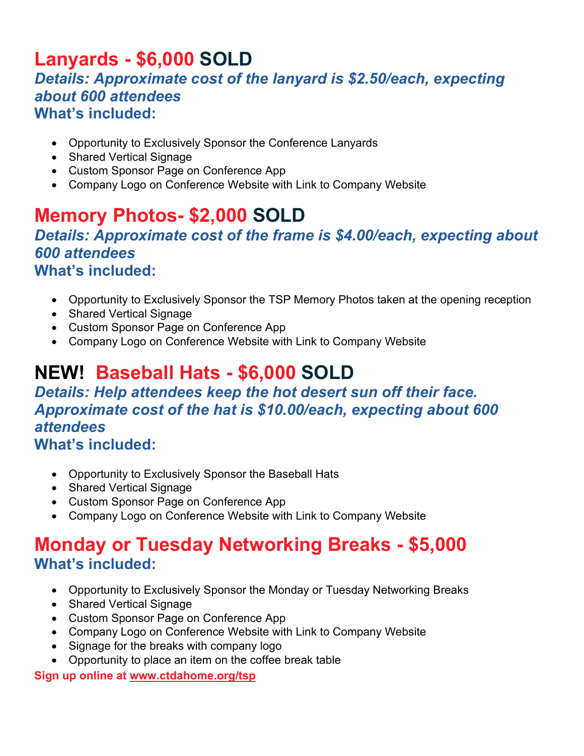### <span id="page-8-0"></span>**Lanyards - \$6,000 SOLD** *Details: Approximate cost of the lanyard is \$2.50/each, expecting about 600 attendees* **What's included:**

- Opportunity to Exclusively Sponsor the Conference Lanyards
- Shared Vertical Signage
- Custom Sponsor Page on Conference App
- Company Logo on Conference Website with Link to Company Website

### <span id="page-8-1"></span>**Memory Photos- \$2,000 SOLD** *Details: Approximate cost of the frame is \$4.00/each, expecting about 600 attendees* **What's included:**

- Opportunity to Exclusively Sponsor the TSP Memory Photos taken at the opening reception
- Shared Vertical Signage
- Custom Sponsor Page on Conference App
- Company Logo on Conference Website with Link to Company Website

## <span id="page-8-2"></span>**NEW! Baseball Hats - \$6,000 SOLD**

### *Details: Help attendees keep the hot desert sun off their face. Approximate cost of the hat is \$10.00/each, expecting about 600 attendees*

### **What's included:**

- Opportunity to Exclusively Sponsor the Baseball Hats
- Shared Vertical Signage
- Custom Sponsor Page on Conference App
- Company Logo on Conference Website with Link to Company Website

### <span id="page-8-3"></span>**Monday or Tuesday Networking Breaks - \$5,000 What's included:**

- Opportunity to Exclusively Sponsor the Monday or Tuesday Networking Breaks
- Shared Vertical Signage
- Custom Sponsor Page on Conference App
- Company Logo on Conference Website with Link to Company Website
- Signage for the breaks with company logo
- Opportunity to place an item on the coffee break table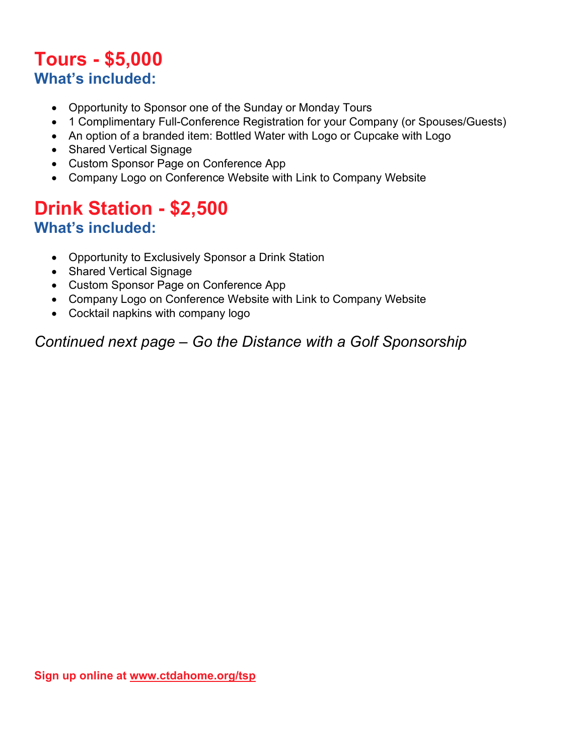### <span id="page-9-0"></span>**Tours - \$5,000 What's included:**

- Opportunity to Sponsor one of the Sunday or Monday Tours
- 1 Complimentary Full-Conference Registration for your Company (or Spouses/Guests)
- An option of a branded item: Bottled Water with Logo or Cupcake with Logo
- Shared Vertical Signage
- Custom Sponsor Page on Conference App
- Company Logo on Conference Website with Link to Company Website

### <span id="page-9-1"></span>**Drink Station - \$2,500 What's included:**

- Opportunity to Exclusively Sponsor a Drink Station
- Shared Vertical Signage
- Custom Sponsor Page on Conference App
- Company Logo on Conference Website with Link to Company Website
- Cocktail napkins with company logo

*Continued next page – Go the Distance with a Golf Sponsorship*